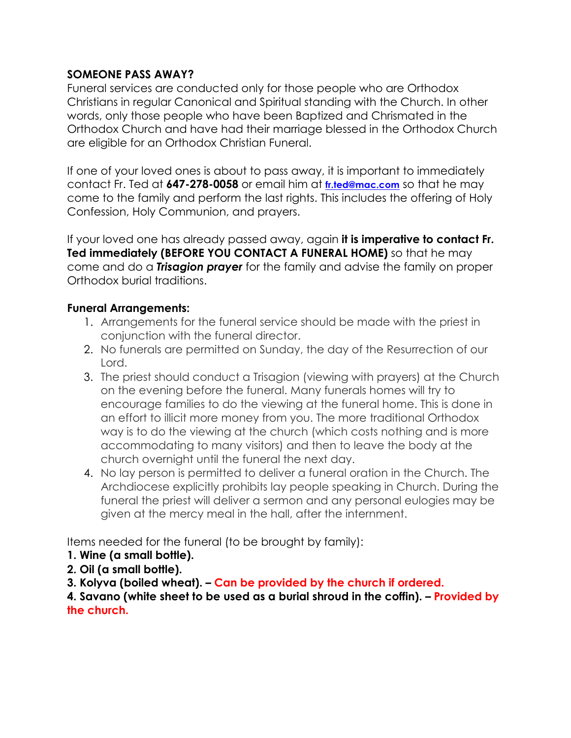## **SOMEONE PASS AWAY?**

Funeral services are conducted only for those people who are Orthodox Christians in regular Canonical and Spiritual standing with the Church. In other words, only those people who have been Baptized and Chrismated in the Orthodox Church and have had their marriage blessed in the Orthodox Church are eligible for an Orthodox Christian Funeral.

If one of your loved ones is about to pass away, it is important to immediately contact Fr. Ted at **647-278-0058** or email him at **fr.ted@mac.com** so that he may come to the family and perform the last rights. This includes the offering of Holy Confession, Holy Communion, and prayers.

If your loved one has already passed away, again **it is imperative to contact Fr. Ted immediately (BEFORE YOU CONTACT A FUNERAL HOME)** so that he may come and do a *Trisagion prayer* for the family and advise the family on proper Orthodox burial traditions.

## **Funeral Arrangements:**

- 1. Arrangements for the funeral service should be made with the priest in conjunction with the funeral director.
- 2. No funerals are permitted on Sunday, the day of the Resurrection of our Lord.
- 3. The priest should conduct a Trisagion (viewing with prayers) at the Church on the evening before the funeral. Many funerals homes will try to encourage families to do the viewing at the funeral home. This is done in an effort to illicit more money from you. The more traditional Orthodox way is to do the viewing at the church (which costs nothing and is more accommodating to many visitors) and then to leave the body at the church overnight until the funeral the next day.
- 4. No lay person is permitted to deliver a funeral oration in the Church. The Archdiocese explicitly prohibits lay people speaking in Church. During the funeral the priest will deliver a sermon and any personal eulogies may be given at the mercy meal in the hall, after the internment.

Items needed for the funeral (to be brought by family):

- **1. Wine (a small bottle).**
- **2. Oil (a small bottle).**

**3. Kolyva (boiled wheat). – Can be provided by the church if ordered.**

**4. Savano (white sheet to be used as a burial shroud in the coffin). – Provided by the church.**